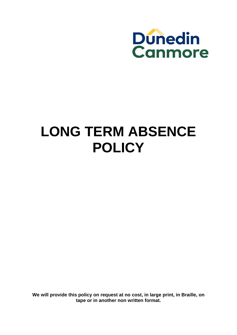

# **LONG TERM ABSENCE POLICY**

**We will provide this policy on request at no cost, in large print, in Braille, on tape or in another non written format.**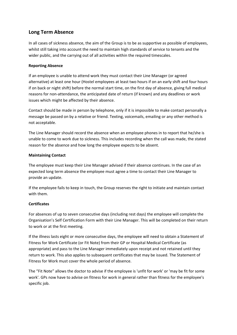## **Long Term Absence**

In all cases of sickness absence, the aim of the Group is to be as supportive as possible of employees, whilst still taking into account the need to maintain high standards of service to tenants and the wider public, and the carrying out of all activities within the required timescales.

## **Reporting Absence**

If an employee is unable to attend work they must contact their Line Manager (or agreed alternative) at least one hour (Hostel employees at least two hours if on an early shift and four hours if on back or night shift) before the normal start time, on the first day of absence, giving full medical reasons for non‐attendance, the anticipated date of return (if known) and any deadlines or work issues which might be affected by their absence.

Contact should be made in person by telephone, only if it is impossible to make contact personally a message be passed on by a relative or friend. Texting, voicemails, emailing or any other method is not acceptable.

The Line Manager should record the absence when an employee phones in to report that he/she is unable to come to work due to sickness. This includes recording when the call was made, the stated reason for the absence and how long the employee expects to be absent.

## **Maintaining Contact**

The employee must keep their Line Manager advised if their absence continues. In the case of an expected long term absence the employee must agree a time to contact their Line Manager to provide an update.

If the employee fails to keep in touch, the Group reserves the right to initiate and maintain contact with them.

## **Certificates**

For absences of up to seven consecutive days (including rest days) the employee will complete the Organisation's Self Certification Form with their Line Manager. This will be completed on their return to work or at the first meeting.

If the illness lasts eight or more consecutive days, the employee will need to obtain a Statement of Fitness for Work Certificate (or Fit Note) from their GP or Hospital Medical Certificate (as appropriate) and pass to the Line Manager immediately upon receipt and not retained until they return to work. This also applies to subsequent certificates that may be issued. The Statement of Fitness for Work must cover the whole period of absence.

The "Fit Note" allows the doctor to advise if the employee is 'unfit for work' or 'may be fit for some work'. GPs now have to advise on fitness for work in general rather than fitness for the employee's specific job.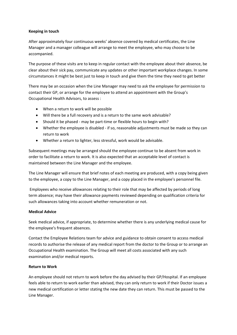#### **Keeping in touch**

After approximately four continuous weeks' absence covered by medical certificates, the Line Manager and a manager colleague will arrange to meet the employee, who may choose to be accompanied.

The purpose of these visits are to keep in regular contact with the employee about their absence, be clear about their sick pay, communicate any updates or other important workplace changes. In some circumstances it might be best just to keep in touch and give them the time they need to get better

There may be an occasion when the Line Manager may need to ask the employee for permission to contact their GP, or arrange for the employee to attend an appointment with the Group's Occupational Health Advisors, to assess :

- When a return to work will be possible
- Will there be a full recovery and is a return to the same work advisable?
- Should it be phased may be part-time or flexible hours to begin with?
- Whether the employee is disabled ‐ if so, reasonable adjustments must be made so they can return to work
- Whether a return to lighter, less stressful, work would be advisable.

Subsequent meetings may be arranged should the employee continue to be absent from work in order to facilitate a return to work. It is also expected that an acceptable level of contact is maintained between the Line Manager and the employee.

The Line Manager will ensure that brief notes of each meeting are produced, with a copy being given to the employee, a copy to the Line Manager, and a copy placed in the employee's personnel file.

Employees who receive allowances relating to their role that may be affected by periods of long term absence; may have their allowance payments reviewed depending on qualification criteria for such allowances taking into account whether remuneration or not.

## **Medical Advice**

Seek medical advice, if appropriate, to determine whether there is any underlying medical cause for the employee's frequent absences.

Contact the Employee Relations team for advice and guidance to obtain consent to access medical records to authorise the release of any medical report from the doctor to the Group or to arrange an Occupational Health examination. The Group will meet all costs associated with any such examination and/or medical reports.

## **Return to Work**

An employee should not return to work before the day advised by their GP/Hospital. If an employee feels able to return to work earlier than advised, they can only return to work if their Doctor issues a new medical certification or letter stating the new date they can return. This must be passed to the Line Manager.